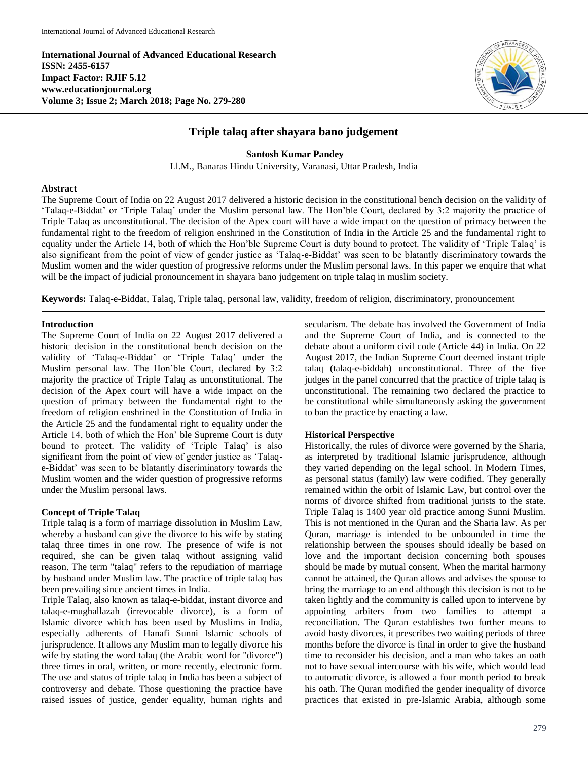**International Journal of Advanced Educational Research ISSN: 2455-6157 Impact Factor: RJIF 5.12 www.educationjournal.org Volume 3; Issue 2; March 2018; Page No. 279-280**



# **Triple talaq after shayara bano judgement**

**Santosh Kumar Pandey** Ll.M., Banaras Hindu University, Varanasi, Uttar Pradesh, India

## **Abstract**

The Supreme Court of India on 22 August 2017 delivered a historic decision in the constitutional bench decision on the validity of 'Talaq-e-Biddat' or 'Triple Talaq' under the Muslim personal law. The Hon'ble Court, declared by 3:2 majority the practice of Triple Talaq as unconstitutional. The decision of the Apex court will have a wide impact on the question of primacy between the fundamental right to the freedom of religion enshrined in the Constitution of India in the Article 25 and the fundamental right to equality under the Article 14, both of which the Hon'ble Supreme Court is duty bound to protect. The validity of 'Triple Talaq' is also significant from the point of view of gender justice as 'Talaq-e-Biddat' was seen to be blatantly discriminatory towards the Muslim women and the wider question of progressive reforms under the Muslim personal laws. In this paper we enquire that what will be the impact of judicial pronouncement in shayara bano judgement on triple talaq in muslim society.

**Keywords:** Talaq-e-Biddat, Talaq, Triple talaq, personal law, validity, freedom of religion, discriminatory, pronouncement

## **Introduction**

The Supreme Court of India on 22 August 2017 delivered a historic decision in the constitutional bench decision on the validity of 'Talaq-e-Biddat' or 'Triple Talaq' under the Muslim personal law. The Hon'ble Court, declared by 3:2 majority the practice of Triple Talaq as unconstitutional. The decision of the Apex court will have a wide impact on the question of primacy between the fundamental right to the freedom of religion enshrined in the Constitution of India in the Article 25 and the fundamental right to equality under the Article 14, both of which the Hon' ble Supreme Court is duty bound to protect. The validity of 'Triple Talaq' is also significant from the point of view of gender justice as 'Talaqe-Biddat' was seen to be blatantly discriminatory towards the Muslim women and the wider question of progressive reforms under the Muslim personal laws.

# **Concept of Triple Talaq**

Triple talaq is a form of marriage dissolution in Muslim Law, whereby a husband can give the divorce to his wife by stating talaq three times in one row. The presence of wife is not required, she can be given talaq without assigning valid reason. The term "talaq" refers to the repudiation of marriage by husband under Muslim law. The practice of triple talaq has been prevailing since ancient times in India.

Triple Talaq, also known as talaq-e-biddat, instant divorce and talaq-e-mughallazah (irrevocable divorce), is a form of Islamic divorce which has been used by Muslims in India, especially adherents of Hanafi Sunni Islamic schools of jurisprudence. It allows any Muslim man to legally divorce his wife by stating the word talaq (the Arabic word for "divorce") three times in oral, written, or more recently, electronic form. The use and status of triple talaq in India has been a subject of controversy and debate. Those questioning the practice have raised issues of justice, gender equality, human rights and

secularism. The debate has involved the Government of India and the Supreme Court of India, and is connected to the debate about a uniform civil code (Article 44) in India. On 22 August 2017, the Indian Supreme Court deemed instant triple talaq (talaq-e-biddah) unconstitutional. Three of the five judges in the panel concurred that the practice of triple talaq is unconstitutional. The remaining two declared the practice to be constitutional while simultaneously asking the government to ban the practice by enacting a law.

#### **Historical Perspective**

Historically, the rules of divorce were governed by the Sharia, as interpreted by traditional Islamic jurisprudence, although they varied depending on the legal school. In Modern Times, as personal status (family) law were codified. They generally remained within the orbit of Islamic Law, but control over the norms of divorce shifted from traditional jurists to the state. Triple Talaq is 1400 year old practice among Sunni Muslim. This is not mentioned in the Quran and the Sharia law. As per Quran, marriage is intended to be unbounded in time the relationship between the spouses should ideally be based on love and the important decision concerning both spouses should be made by mutual consent. When the marital harmony cannot be attained, the Quran allows and advises the spouse to bring the marriage to an end although this decision is not to be taken lightly and the community is called upon to intervene by appointing arbiters from two families to attempt a reconciliation. The Quran establishes two further means to avoid hasty divorces, it prescribes two waiting periods of three months before the divorce is final in order to give the husband time to reconsider his decision, and a man who takes an oath not to have sexual intercourse with his wife, which would lead to automatic divorce, is allowed a four month period to break his oath. The Quran modified the gender inequality of divorce practices that existed in pre-Islamic Arabia, although some